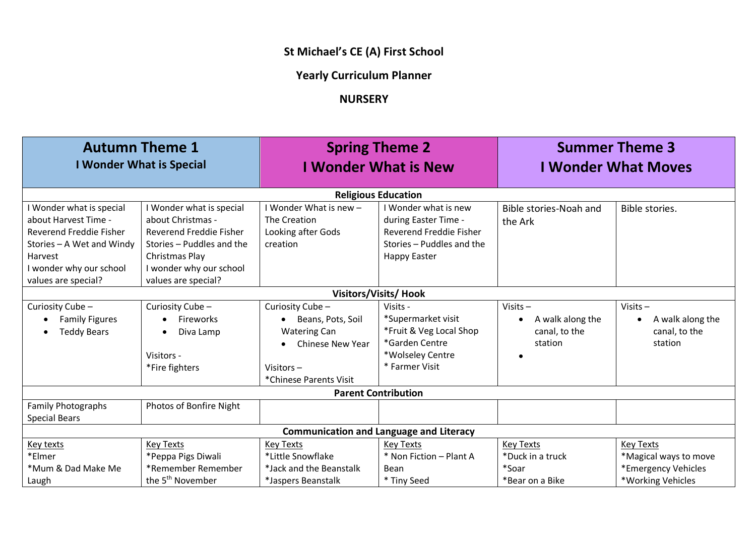## **St Michael's CE (A) First School**

## **Yearly Curriculum Planner**

## **NURSERY**

| <b>Autumn Theme 1</b><br><b>I Wonder What is Special</b>                                                                                                            |                                                                                                                                                                           | <b>Spring Theme 2</b><br><b>I Wonder What is New</b>                                                                                                       |                                                                                                                             | <b>Summer Theme 3</b><br><b>I Wonder What Moves</b>                     |                                                                                       |  |
|---------------------------------------------------------------------------------------------------------------------------------------------------------------------|---------------------------------------------------------------------------------------------------------------------------------------------------------------------------|------------------------------------------------------------------------------------------------------------------------------------------------------------|-----------------------------------------------------------------------------------------------------------------------------|-------------------------------------------------------------------------|---------------------------------------------------------------------------------------|--|
| <b>Religious Education</b>                                                                                                                                          |                                                                                                                                                                           |                                                                                                                                                            |                                                                                                                             |                                                                         |                                                                                       |  |
| Wonder what is special<br>about Harvest Time -<br>Reverend Freddie Fisher<br>Stories - A Wet and Windy<br>Harvest<br>I wonder why our school<br>values are special? | I Wonder what is special<br>about Christmas -<br>Reverend Freddie Fisher<br>Stories - Puddles and the<br>Christmas Play<br>I wonder why our school<br>values are special? | I Wonder What is new -<br>The Creation<br>Looking after Gods<br>creation                                                                                   | I Wonder what is new<br>during Easter Time -<br>Reverend Freddie Fisher<br>Stories - Puddles and the<br><b>Happy Easter</b> | Bible stories-Noah and<br>the Ark                                       | Bible stories.                                                                        |  |
| <b>Visitors/Visits/ Hook</b>                                                                                                                                        |                                                                                                                                                                           |                                                                                                                                                            |                                                                                                                             |                                                                         |                                                                                       |  |
| Curiosity Cube-<br><b>Family Figures</b><br><b>Teddy Bears</b>                                                                                                      | Curiosity Cube-<br>Fireworks<br>$\bullet$<br>Diva Lamp<br>Visitors -<br>*Fire fighters                                                                                    | Curiosity Cube-<br>Beans, Pots, Soil<br>$\bullet$<br><b>Watering Can</b><br><b>Chinese New Year</b><br>$\bullet$<br>Visitors $-$<br>*Chinese Parents Visit | Visits -<br>*Supermarket visit<br>*Fruit & Veg Local Shop<br>*Garden Centre<br>*Wolseley Centre<br>* Farmer Visit           | Visits $-$<br>A walk along the<br>$\bullet$<br>canal, to the<br>station | Visits $-$<br>A walk along the<br>canal, to the<br>station                            |  |
| <b>Parent Contribution</b>                                                                                                                                          |                                                                                                                                                                           |                                                                                                                                                            |                                                                                                                             |                                                                         |                                                                                       |  |
| <b>Family Photographs</b><br><b>Special Bears</b>                                                                                                                   | Photos of Bonfire Night                                                                                                                                                   |                                                                                                                                                            |                                                                                                                             |                                                                         |                                                                                       |  |
| <b>Communication and Language and Literacy</b>                                                                                                                      |                                                                                                                                                                           |                                                                                                                                                            |                                                                                                                             |                                                                         |                                                                                       |  |
| Key texts<br>*Elmer<br>*Mum & Dad Make Me<br>Laugh                                                                                                                  | <b>Key Texts</b><br>*Peppa Pigs Diwali<br>*Remember Remember<br>the 5 <sup>th</sup> November                                                                              | <b>Key Texts</b><br>*Little Snowflake<br>*Jack and the Beanstalk<br>*Jaspers Beanstalk                                                                     | <b>Key Texts</b><br>* Non Fiction - Plant A<br>Bean<br>* Tiny Seed                                                          | <b>Key Texts</b><br>*Duck in a truck<br>*Soar<br>*Bear on a Bike        | <b>Key Texts</b><br>*Magical ways to move<br>*Emergency Vehicles<br>*Working Vehicles |  |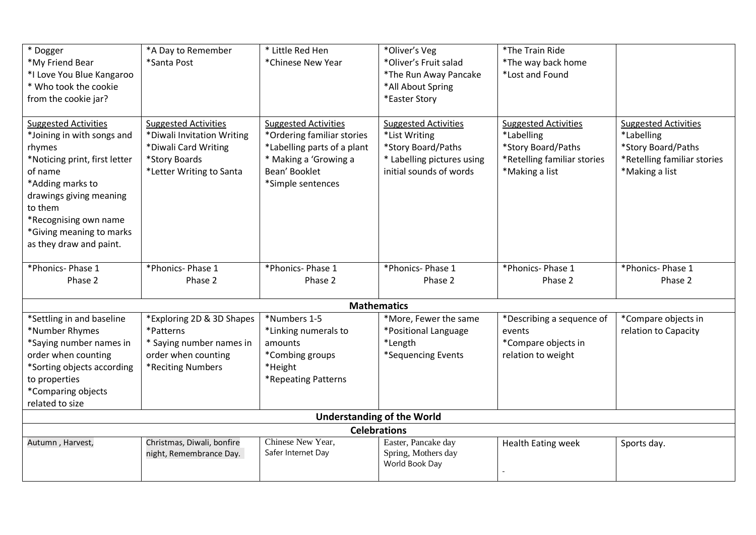| * Dogger                      | *A Day to Remember          | * Little Red Hen            | *Oliver's Veg                     | *The Train Ride             |                             |
|-------------------------------|-----------------------------|-----------------------------|-----------------------------------|-----------------------------|-----------------------------|
| *My Friend Bear               | *Santa Post                 | *Chinese New Year           | *Oliver's Fruit salad             | *The way back home          |                             |
| *I Love You Blue Kangaroo     |                             |                             | *The Run Away Pancake             | *Lost and Found             |                             |
| * Who took the cookie         |                             |                             | *All About Spring                 |                             |                             |
| from the cookie jar?          |                             |                             | *Easter Story                     |                             |                             |
|                               |                             |                             |                                   |                             |                             |
| <b>Suggested Activities</b>   | <b>Suggested Activities</b> | <b>Suggested Activities</b> | <b>Suggested Activities</b>       | <b>Suggested Activities</b> | <b>Suggested Activities</b> |
| *Joining in with songs and    | *Diwali Invitation Writing  | *Ordering familiar stories  | *List Writing                     | *Labelling                  | *Labelling                  |
| rhymes                        | *Diwali Card Writing        | *Labelling parts of a plant | *Story Board/Paths                | *Story Board/Paths          | *Story Board/Paths          |
| *Noticing print, first letter | *Story Boards               | * Making a 'Growing a       | * Labelling pictures using        | *Retelling familiar stories | *Retelling familiar stories |
| of name                       | *Letter Writing to Santa    | Bean' Booklet               | initial sounds of words           | *Making a list              | *Making a list              |
| *Adding marks to              |                             | *Simple sentences           |                                   |                             |                             |
| drawings giving meaning       |                             |                             |                                   |                             |                             |
| to them                       |                             |                             |                                   |                             |                             |
| *Recognising own name         |                             |                             |                                   |                             |                             |
| *Giving meaning to marks      |                             |                             |                                   |                             |                             |
| as they draw and paint.       |                             |                             |                                   |                             |                             |
|                               |                             |                             |                                   |                             |                             |
| *Phonics-Phase 1              | *Phonics-Phase 1            | *Phonics-Phase 1            | *Phonics-Phase 1                  | *Phonics-Phase 1            | *Phonics- Phase 1           |
| Phase 2                       | Phase 2                     | Phase 2                     | Phase 2                           | Phase 2                     | Phase 2                     |
|                               |                             |                             |                                   |                             |                             |
|                               |                             |                             |                                   |                             |                             |
|                               |                             |                             | <b>Mathematics</b>                |                             |                             |
| *Settling in and baseline     | *Exploring 2D & 3D Shapes   | *Numbers 1-5                | *More, Fewer the same             | *Describing a sequence of   | *Compare objects in         |
| *Number Rhymes                | *Patterns                   | *Linking numerals to        | *Positional Language              | events                      | relation to Capacity        |
| *Saying number names in       | * Saying number names in    | amounts                     | *Length                           | *Compare objects in         |                             |
| order when counting           | order when counting         | *Combing groups             | *Sequencing Events                | relation to weight          |                             |
| *Sorting objects according    | *Reciting Numbers           | *Height                     |                                   |                             |                             |
| to properties                 |                             | *Repeating Patterns         |                                   |                             |                             |
| *Comparing objects            |                             |                             |                                   |                             |                             |
| related to size               |                             |                             |                                   |                             |                             |
|                               |                             |                             | <b>Understanding of the World</b> |                             |                             |
|                               |                             |                             | <b>Celebrations</b>               |                             |                             |
| Autumn, Harvest,              | Christmas, Diwali, bonfire  | Chinese New Year,           | Easter, Pancake day               | <b>Health Eating week</b>   | Sports day.                 |
|                               | night, Remembrance Day.     | Safer Internet Day          | Spring, Mothers day               |                             |                             |
|                               |                             |                             | World Book Day                    |                             |                             |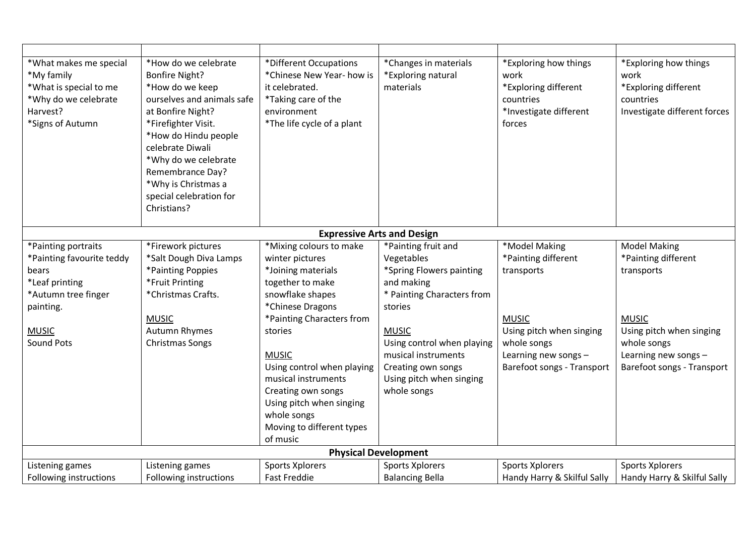| *What makes me special<br>*My family<br>*What is special to me<br>*Why do we celebrate<br>Harvest?<br>*Signs of Autumn                               | *How do we celebrate<br><b>Bonfire Night?</b><br>*How do we keep<br>ourselves and animals safe<br>at Bonfire Night?<br>*Firefighter Visit.<br>*How do Hindu people<br>celebrate Diwali<br>*Why do we celebrate<br>Remembrance Day?<br>*Why is Christmas a<br>special celebration for<br>Christians? | *Different Occupations<br>*Chinese New Year- how is<br>it celebrated.<br>*Taking care of the<br>environment<br>*The life cycle of a plant                                                                                                                                                                                                           | *Changes in materials<br>*Exploring natural<br>materials                                                                                                                                                                                                   | *Exploring how things<br>work<br>*Exploring different<br>countries<br>*Investigate different<br>forces                                                              | *Exploring how things<br>work<br>*Exploring different<br>countries<br>Investigate different forces                                                                        |  |
|------------------------------------------------------------------------------------------------------------------------------------------------------|-----------------------------------------------------------------------------------------------------------------------------------------------------------------------------------------------------------------------------------------------------------------------------------------------------|-----------------------------------------------------------------------------------------------------------------------------------------------------------------------------------------------------------------------------------------------------------------------------------------------------------------------------------------------------|------------------------------------------------------------------------------------------------------------------------------------------------------------------------------------------------------------------------------------------------------------|---------------------------------------------------------------------------------------------------------------------------------------------------------------------|---------------------------------------------------------------------------------------------------------------------------------------------------------------------------|--|
| <b>Expressive Arts and Design</b>                                                                                                                    |                                                                                                                                                                                                                                                                                                     |                                                                                                                                                                                                                                                                                                                                                     |                                                                                                                                                                                                                                                            |                                                                                                                                                                     |                                                                                                                                                                           |  |
| *Painting portraits<br>*Painting favourite teddy<br>bears<br>*Leaf printing<br>*Autumn tree finger<br>painting.<br><b>MUSIC</b><br><b>Sound Pots</b> | *Firework pictures<br>*Salt Dough Diva Lamps<br>*Painting Poppies<br>*Fruit Printing<br>*Christmas Crafts.<br><b>MUSIC</b><br><b>Autumn Rhymes</b><br><b>Christmas Songs</b>                                                                                                                        | *Mixing colours to make<br>winter pictures<br>*Joining materials<br>together to make<br>snowflake shapes<br>*Chinese Dragons<br>*Painting Characters from<br>stories<br><b>MUSIC</b><br>Using control when playing<br>musical instruments<br>Creating own songs<br>Using pitch when singing<br>whole songs<br>Moving to different types<br>of music | *Painting fruit and<br>Vegetables<br>*Spring Flowers painting<br>and making<br>* Painting Characters from<br>stories<br><b>MUSIC</b><br>Using control when playing<br>musical instruments<br>Creating own songs<br>Using pitch when singing<br>whole songs | *Model Making<br>*Painting different<br>transports<br><b>MUSIC</b><br>Using pitch when singing<br>whole songs<br>Learning new songs -<br>Barefoot songs - Transport | <b>Model Making</b><br>*Painting different<br>transports<br><b>MUSIC</b><br>Using pitch when singing<br>whole songs<br>Learning new songs -<br>Barefoot songs - Transport |  |
| <b>Physical Development</b>                                                                                                                          |                                                                                                                                                                                                                                                                                                     |                                                                                                                                                                                                                                                                                                                                                     |                                                                                                                                                                                                                                                            |                                                                                                                                                                     |                                                                                                                                                                           |  |
| Listening games                                                                                                                                      | Listening games                                                                                                                                                                                                                                                                                     | Sports Xplorers                                                                                                                                                                                                                                                                                                                                     | <b>Sports Xplorers</b>                                                                                                                                                                                                                                     | <b>Sports Xplorers</b>                                                                                                                                              | Sports Xplorers                                                                                                                                                           |  |
| Following instructions                                                                                                                               | Following instructions                                                                                                                                                                                                                                                                              | <b>Fast Freddie</b>                                                                                                                                                                                                                                                                                                                                 | <b>Balancing Bella</b>                                                                                                                                                                                                                                     | Handy Harry & Skilful Sally                                                                                                                                         | Handy Harry & Skilful Sally                                                                                                                                               |  |